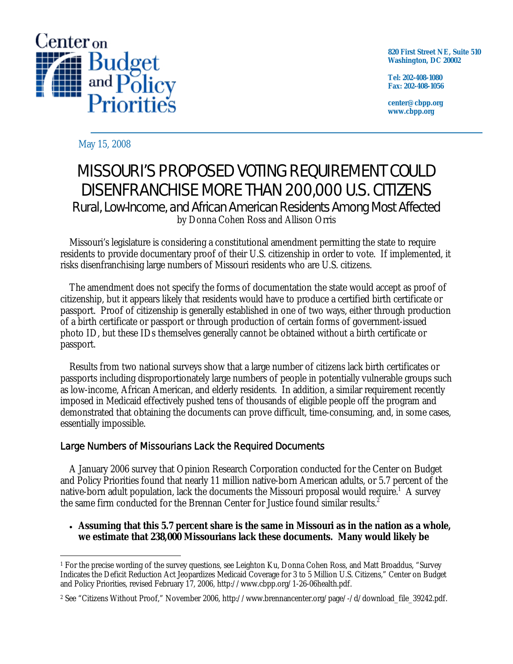

**820 First Street NE, Suite 510 Washington, DC 20002** 

**Tel: 202-408-1080 Fax: 202-408-1056** 

**center@cbpp.org www.cbpp.org** 

#### May 15, 2008

# MISSOURI'S PROPOSED VOTING REQUIREMENT COULD DISENFRANCHISE MORE THAN 200,000 U.S. CITIZENS Rural, Low-Income, and African American Residents Among Most Affected by Donna Cohen Ross and Allison Orris

 Missouri's legislature is considering a constitutional amendment permitting the state to require residents to provide documentary proof of their U.S. citizenship in order to vote. If implemented, it risks disenfranchising large numbers of Missouri residents who are U.S. citizens.

 The amendment does not specify the forms of documentation the state would accept as proof of citizenship, but it appears likely that residents would have to produce a certified birth certificate or passport. Proof of citizenship is generally established in one of two ways, either through production of a birth certificate or passport or through production of certain forms of government-issued photo ID, but these IDs themselves generally cannot be obtained without a birth certificate or passport.

 Results from two national surveys show that a large number of citizens lack birth certificates or passports including disproportionately large numbers of people in potentially vulnerable groups such as low-income, African American, and elderly residents. In addition, a similar requirement recently imposed in Medicaid effectively pushed tens of thousands of eligible people off the program and demonstrated that obtaining the documents can prove difficult, time-consuming, and, in some cases, essentially impossible.

### Large Numbers of Missourians Lack the Required Documents

 A January 2006 survey that Opinion Research Corporation conducted for the Center on Budget and Policy Priorities found that nearly 11 million native-born American adults, or 5.7 percent of the native-born adult population, lack the documents the Missouri proposal would require.<sup>1</sup> A survey the same firm conducted for the Brennan Center for Justice found similar results.<sup>2</sup>

#### • **Assuming that this 5.7 percent share is the same in Missouri as in the nation as a whole, we estimate that 238,000 Missourians lack these documents. Many would likely be**

 $\overline{a}$ 1 For the precise wording of the survey questions, see Leighton Ku, Donna Cohen Ross, and Matt Broaddus, "Survey Indicates the Deficit Reduction Act Jeopardizes Medicaid Coverage for 3 to 5 Million U.S. Citizens," Center on Budget and Policy Priorities, revised February 17, 2006, http://www.cbpp.org/1-26-06health.pdf.

<sup>2</sup> See "Citizens Without Proof," November 2006, http://www.brennancenter.org/page/-/d/download\_file\_39242.pdf.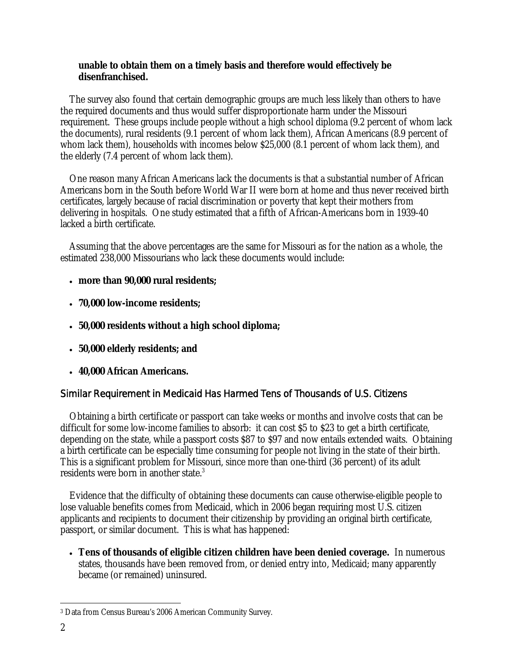#### **unable to obtain them on a timely basis and therefore would effectively be disenfranchised.**

The survey also found that certain demographic groups are much less likely than others to have the required documents and thus would suffer disproportionate harm under the Missouri requirement. These groups include people without a high school diploma (9.2 percent of whom lack the documents), rural residents (9.1 percent of whom lack them), African Americans (8.9 percent of whom lack them), households with incomes below \$25,000 (8.1 percent of whom lack them), and the elderly (7.4 percent of whom lack them).

 One reason many African Americans lack the documents is that a substantial number of African Americans born in the South before World War II were born at home and thus never received birth certificates, largely because of racial discrimination or poverty that kept their mothers from delivering in hospitals. One study estimated that a fifth of African-Americans born in 1939-40 lacked a birth certificate.

 Assuming that the above percentages are the same for Missouri as for the nation as a whole, the estimated 238,000 Missourians who lack these documents would include:

- **more than 90,000 rural residents;**
- **70,000 low-income residents;**
- **50,000 residents without a high school diploma;**
- **50,000 elderly residents; and**
- **40,000 African Americans.**

## Similar Requirement in Medicaid Has Harmed Tens of Thousands of U.S. Citizens

 Obtaining a birth certificate or passport can take weeks or months and involve costs that can be difficult for some low-income families to absorb: it can cost \$5 to \$23 to get a birth certificate, depending on the state, while a passport costs \$87 to \$97 and now entails extended waits. Obtaining a birth certificate can be especially time consuming for people not living in the state of their birth. This is a significant problem for Missouri, since more than one-third (36 percent) of its adult residents were born in another state.3

 Evidence that the difficulty of obtaining these documents can cause otherwise-eligible people to lose valuable benefits comes from Medicaid, which in 2006 began requiring most U.S. citizen applicants and recipients to document their citizenship by providing an original birth certificate, passport, or similar document. This is what has happened:

• **Tens of thousands of eligible citizen children have been denied coverage.** In numerous states, thousands have been removed from, or denied entry into, Medicaid; many apparently became (or remained) uninsured.

<sup>-</sup>3 Data from Census Bureau's 2006 American Community Survey.